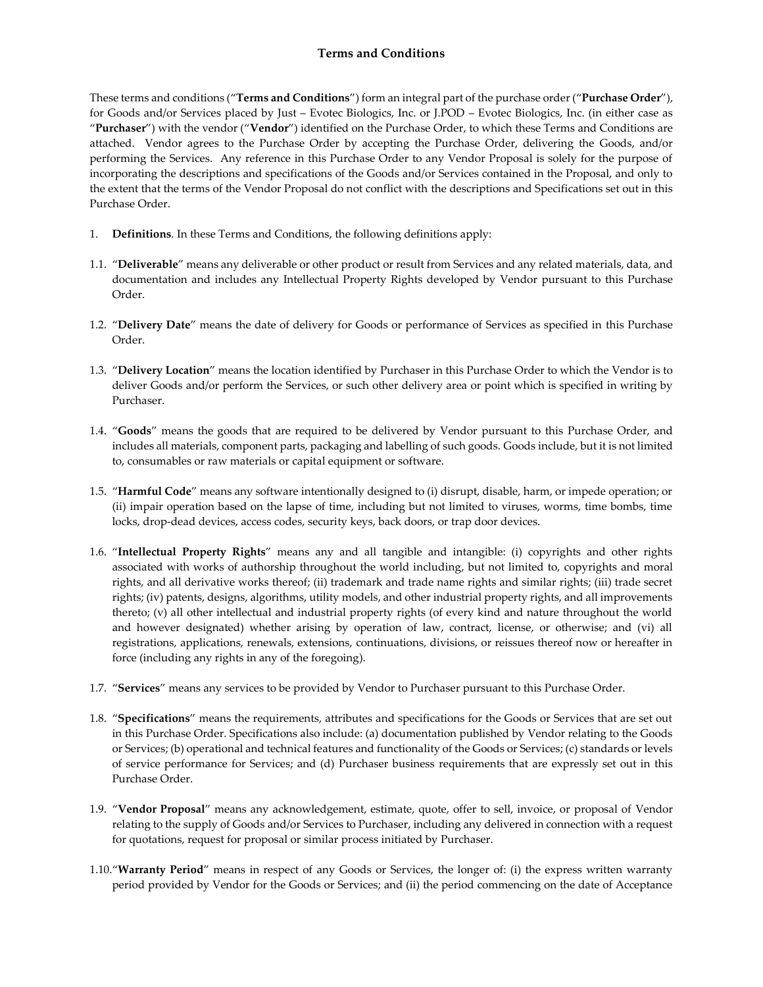These terms and conditions ("Terms and Conditions") form an integral part of the purchase order ("Purchase Order"), for Goods and/or Services placed by Just – Evotec Biologics, Inc. or J.POD – Evotec Biologics, Inc. (in either case as ȃ**Purchaser**Ȅ) with the vendor (ȃ**Vendor**Ȅ) identified on the Purchase Order, to which these Terms and Conditions are attached. Vendor agrees to the Purchase Order by accepting the Purchase Order, delivering the Goods, and/or performing the Services. Any reference in this Purchase Order to any Vendor Proposal is solely for the purpose of incorporating the descriptions and specifications of the Goods and/or Services contained in the Proposal, and only to the extent that the terms of the Vendor Proposal do not conflict with the descriptions and Specifications set out in this Purchase Order.

- 1. **Definitions**. In these Terms and Conditions, the following definitions apply:
- 1.1. ȃ**Deliverable**Ȅ means any deliverable or other product or result from Services and any related materials, data, and documentation and includes any Intellectual Property Rights developed by Vendor pursuant to this Purchase Order.
- 1.2. "Delivery Date" means the date of delivery for Goods or performance of Services as specified in this Purchase Order.
- 1.3. ȃ**Delivery Location**Ȅ means the location identified by Purchaser in this Purchase Order to which the Vendor is to deliver Goods and/or perform the Services, or such other delivery area or point which is specified in writing by Purchaser.
- 1.4. ȃ**Goods**Ȅ means the goods that are required to be delivered by Vendor pursuant to this Purchase Order, and includes all materials, component parts, packaging and labelling of such goods. Goods include, but it is not limited to, consumables or raw materials or capital equipment or software.
- 1.5. ȃ**Harmful Code**Ȅ means any software intentionally designed to (i) disrupt, disable, harm, or impede operation; or (ii) impair operation based on the lapse of time, including but not limited to viruses, worms, time bombs, time locks, drop-dead devices, access codes, security keys, back doors, or trap door devices.
- 1.6. "Intellectual Property Rights" means any and all tangible and intangible: (i) copyrights and other rights associated with works of authorship throughout the world including, but not limited to, copyrights and moral rights, and all derivative works thereof; (ii) trademark and trade name rights and similar rights; (iii) trade secret rights; (iv) patents, designs, algorithms, utility models, and other industrial property rights, and all improvements thereto; (v) all other intellectual and industrial property rights (of every kind and nature throughout the world and however designated) whether arising by operation of law, contract, license, or otherwise; and (vi) all registrations, applications, renewals, extensions, continuations, divisions, or reissues thereof now or hereafter in force (including any rights in any of the foregoing).
- 1.7. ȃ**Services**Ȅ means any services to be provided by Vendor to Purchaser pursuant to this Purchase Order.
- 1.8. ȃ**Specifications**Ȅ means the requirements, attributes and specifications for the Goods or Services that are set out in this Purchase Order. Specifications also include: (a) documentation published by Vendor relating to the Goods or Services; (b) operational and technical features and functionality of the Goods or Services; (c) standards or levels of service performance for Services; and (d) Purchaser business requirements that are expressly set out in this Purchase Order.
- 1.9. "Vendor Proposal" means any acknowledgement, estimate, quote, offer to sell, invoice, or proposal of Vendor relating to the supply of Goods and/or Services to Purchaser, including any delivered in connection with a request for quotations, request for proposal or similar process initiated by Purchaser.
- 1.10. "Warranty Period" means in respect of any Goods or Services, the longer of: (i) the express written warranty period provided by Vendor for the Goods or Services; and (ii) the period commencing on the date of Acceptance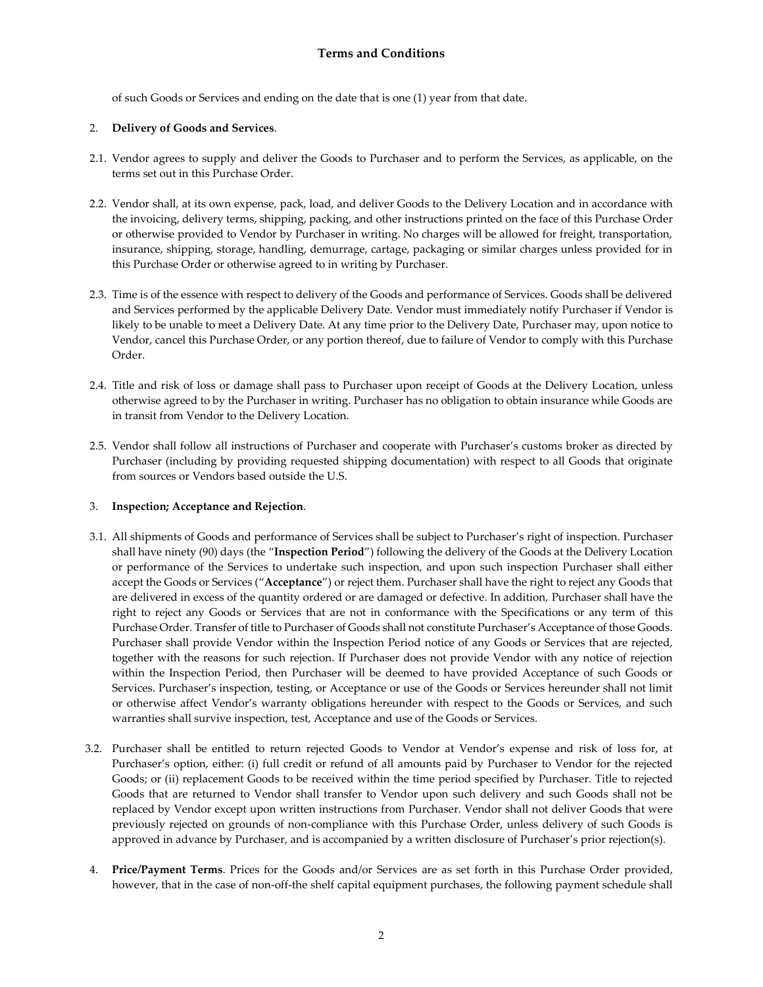of such Goods or Services and ending on the date that is one (1) year from that date.

### 2. **Delivery of Goods and Services**.

- 2.1. Vendor agrees to supply and deliver the Goods to Purchaser and to perform the Services, as applicable, on the terms set out in this Purchase Order.
- 2.2. Vendor shall, at its own expense, pack, load, and deliver Goods to the Delivery Location and in accordance with the invoicing, delivery terms, shipping, packing, and other instructions printed on the face of this Purchase Order or otherwise provided to Vendor by Purchaser in writing. No charges will be allowed for freight, transportation, insurance, shipping, storage, handling, demurrage, cartage, packaging or similar charges unless provided for in this Purchase Order or otherwise agreed to in writing by Purchaser.
- 2.3. Time is of the essence with respect to delivery of the Goods and performance of Services. Goods shall be delivered and Services performed by the applicable Delivery Date. Vendor must immediately notify Purchaser if Vendor is likely to be unable to meet a Delivery Date. At any time prior to the Delivery Date, Purchaser may, upon notice to Vendor, cancel this Purchase Order, or any portion thereof, due to failure of Vendor to comply with this Purchase Order.
- 2.4. Title and risk of loss or damage shall pass to Purchaser upon receipt of Goods at the Delivery Location, unless otherwise agreed to by the Purchaser in writing. Purchaser has no obligation to obtain insurance while Goods are in transit from Vendor to the Delivery Location.
- 2.5. Vendor shall follow all instructions of Purchaser and cooperate with Purchaser's customs broker as directed by Purchaser (including by providing requested shipping documentation) with respect to all Goods that originate from sources or Vendors based outside the U.S.

#### 3. **Inspection; Acceptance and Rejection**.

- 3.1. All shipments of Goods and performance of Services shall be subject to Purchaser's right of inspection. Purchaser shall have ninety (90) days (the "Inspection Period") following the delivery of the Goods at the Delivery Location or performance of the Services to undertake such inspection, and upon such inspection Purchaser shall either accept the Goods or Services ("Acceptance") or reject them. Purchaser shall have the right to reject any Goods that are delivered in excess of the quantity ordered or are damaged or defective. In addition, Purchaser shall have the right to reject any Goods or Services that are not in conformance with the Specifications or any term of this Purchase Order. Transfer of title to Purchaser of Goods shall not constitute Purchaser's Acceptance of those Goods. Purchaser shall provide Vendor within the Inspection Period notice of any Goods or Services that are rejected, together with the reasons for such rejection. If Purchaser does not provide Vendor with any notice of rejection within the Inspection Period, then Purchaser will be deemed to have provided Acceptance of such Goods or Services. Purchaser's inspection, testing, or Acceptance or use of the Goods or Services hereunder shall not limit or otherwise affect Vendor's warranty obligations hereunder with respect to the Goods or Services, and such warranties shall survive inspection, test, Acceptance and use of the Goods or Services.
- 3.2. Purchaser shall be entitled to return rejected Goods to Vendor at Vendor's expense and risk of loss for, at Purchaser's option, either: (i) full credit or refund of all amounts paid by Purchaser to Vendor for the rejected Goods; or (ii) replacement Goods to be received within the time period specified by Purchaser. Title to rejected Goods that are returned to Vendor shall transfer to Vendor upon such delivery and such Goods shall not be replaced by Vendor except upon written instructions from Purchaser. Vendor shall not deliver Goods that were previously rejected on grounds of non-compliance with this Purchase Order, unless delivery of such Goods is approved in advance by Purchaser, and is accompanied by a written disclosure of Purchaser's prior rejection(s).
- 4. **Price/Payment Terms**. Prices for the Goods and/or Services are as set forth in this Purchase Order provided, however, that in the case of non-off-the shelf capital equipment purchases, the following payment schedule shall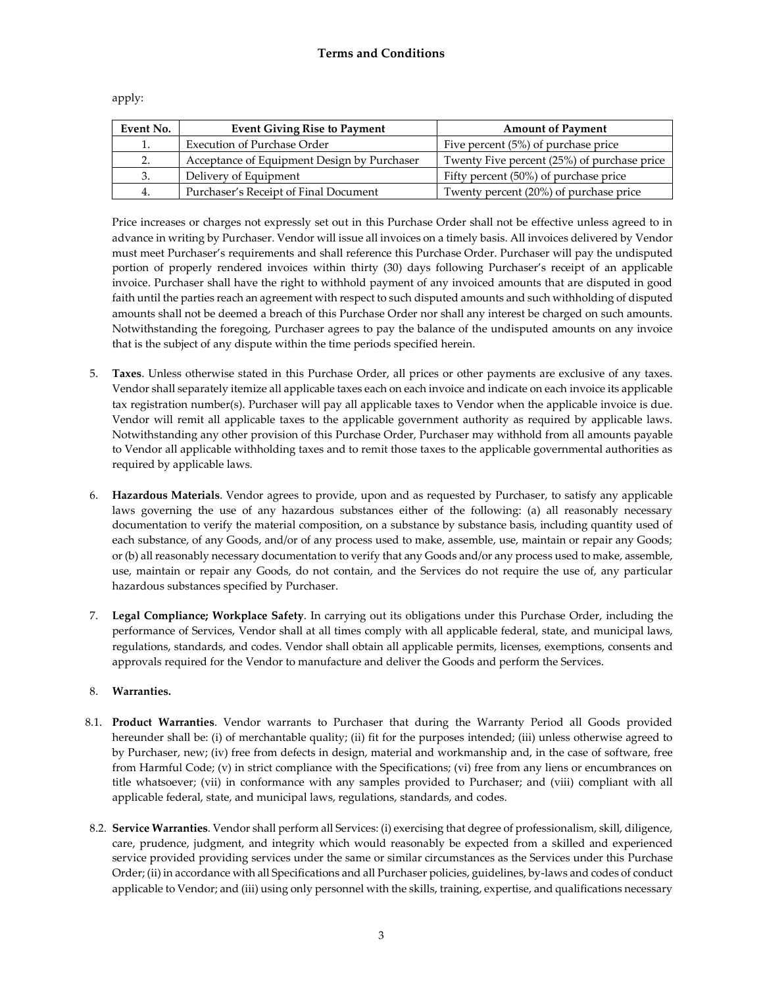| Event No. | <b>Event Giving Rise to Payment</b>         | <b>Amount of Payment</b>                    |
|-----------|---------------------------------------------|---------------------------------------------|
| 1.        | <b>Execution of Purchase Order</b>          | Five percent (5%) of purchase price         |
| 2.        | Acceptance of Equipment Design by Purchaser | Twenty Five percent (25%) of purchase price |
| 3.        | Delivery of Equipment                       | Fifty percent (50%) of purchase price       |
| 4.        | Purchaser's Receipt of Final Document       | Twenty percent (20%) of purchase price      |

apply:

Price increases or charges not expressly set out in this Purchase Order shall not be effective unless agreed to in advance in writing by Purchaser. Vendor will issue all invoices on a timely basis. All invoices delivered by Vendor must meet Purchaser's requirements and shall reference this Purchase Order. Purchaser will pay the undisputed portion of properly rendered invoices within thirty (30) days following Purchaser's receipt of an applicable invoice. Purchaser shall have the right to withhold payment of any invoiced amounts that are disputed in good faith until the parties reach an agreement with respect to such disputed amounts and such withholding of disputed amounts shall not be deemed a breach of this Purchase Order nor shall any interest be charged on such amounts. Notwithstanding the foregoing, Purchaser agrees to pay the balance of the undisputed amounts on any invoice that is the subject of any dispute within the time periods specified herein.

- 5. **Taxes**. Unless otherwise stated in this Purchase Order, all prices or other payments are exclusive of any taxes. Vendor shall separately itemize all applicable taxes each on each invoice and indicate on each invoice its applicable tax registration number(s). Purchaser will pay all applicable taxes to Vendor when the applicable invoice is due. Vendor will remit all applicable taxes to the applicable government authority as required by applicable laws. Notwithstanding any other provision of this Purchase Order, Purchaser may withhold from all amounts payable to Vendor all applicable withholding taxes and to remit those taxes to the applicable governmental authorities as required by applicable laws.
- 6. **Hazardous Materials**. Vendor agrees to provide, upon and as requested by Purchaser, to satisfy any applicable laws governing the use of any hazardous substances either of the following: (a) all reasonably necessary documentation to verify the material composition, on a substance by substance basis, including quantity used of each substance, of any Goods, and/or of any process used to make, assemble, use, maintain or repair any Goods; or (b) all reasonably necessary documentation to verify that any Goods and/or any process used to make, assemble, use, maintain or repair any Goods, do not contain, and the Services do not require the use of, any particular hazardous substances specified by Purchaser.
- 7. **Legal Compliance; Workplace Safety**. In carrying out its obligations under this Purchase Order, including the performance of Services, Vendor shall at all times comply with all applicable federal, state, and municipal laws, regulations, standards, and codes. Vendor shall obtain all applicable permits, licenses, exemptions, consents and approvals required for the Vendor to manufacture and deliver the Goods and perform the Services.

### 8. **Warranties.**

- 8.1. **Product Warranties**. Vendor warrants to Purchaser that during the Warranty Period all Goods provided hereunder shall be: (i) of merchantable quality; (ii) fit for the purposes intended; (iii) unless otherwise agreed to by Purchaser, new; (iv) free from defects in design, material and workmanship and, in the case of software, free from Harmful Code; (v) in strict compliance with the Specifications; (vi) free from any liens or encumbrances on title whatsoever; (vii) in conformance with any samples provided to Purchaser; and (viii) compliant with all applicable federal, state, and municipal laws, regulations, standards, and codes.
- 8.2. **Service Warranties**. Vendor shall perform all Services: (i) exercising that degree of professionalism, skill, diligence, care, prudence, judgment, and integrity which would reasonably be expected from a skilled and experienced service provided providing services under the same or similar circumstances as the Services under this Purchase Order; (ii) in accordance with all Specifications and all Purchaser policies, guidelines, by-laws and codes of conduct applicable to Vendor; and (iii) using only personnel with the skills, training, expertise, and qualifications necessary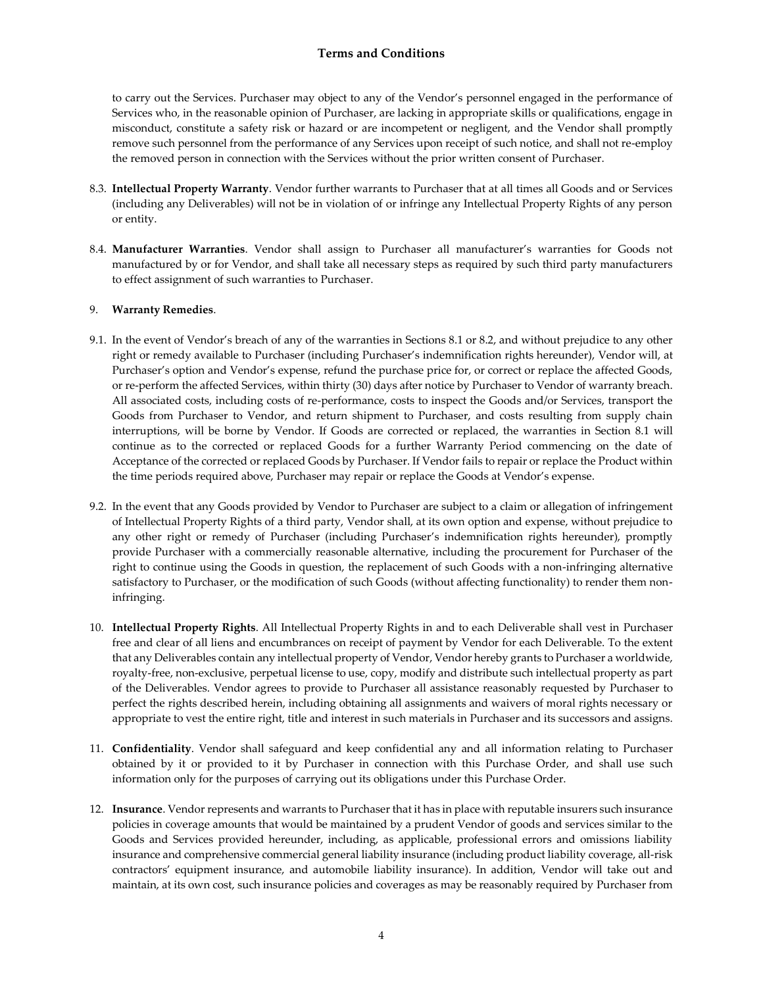to carry out the Services. Purchaser may object to any of the Vendor's personnel engaged in the performance of Services who, in the reasonable opinion of Purchaser, are lacking in appropriate skills or qualifications, engage in misconduct, constitute a safety risk or hazard or are incompetent or negligent, and the Vendor shall promptly remove such personnel from the performance of any Services upon receipt of such notice, and shall not re-employ the removed person in connection with the Services without the prior written consent of Purchaser.

- 8.3. **Intellectual Property Warranty**. Vendor further warrants to Purchaser that at all times all Goods and or Services (including any Deliverables) will not be in violation of or infringe any Intellectual Property Rights of any person or entity.
- 8.4. **Manufacturer Warranties**. Vendor shall assign to Purchaser all manufacturer's warranties for Goods not manufactured by or for Vendor, and shall take all necessary steps as required by such third party manufacturers to effect assignment of such warranties to Purchaser.

#### 9. **Warranty Remedies**.

- 9.1. In the event of Vendor's breach of any of the warranties in Sections 8.1 or 8.2, and without prejudice to any other right or remedy available to Purchaser (including Purchaser's indemnification rights hereunder), Vendor will, at Purchaser's option and Vendor's expense, refund the purchase price for, or correct or replace the affected Goods, or re-perform the affected Services, within thirty (30) days after notice by Purchaser to Vendor of warranty breach. All associated costs, including costs of re-performance, costs to inspect the Goods and/or Services, transport the Goods from Purchaser to Vendor, and return shipment to Purchaser, and costs resulting from supply chain interruptions, will be borne by Vendor. If Goods are corrected or replaced, the warranties in Section 8.1 will continue as to the corrected or replaced Goods for a further Warranty Period commencing on the date of Acceptance of the corrected or replaced Goods by Purchaser. If Vendor fails to repair or replace the Product within the time periods required above, Purchaser may repair or replace the Goods at Vendor's expense.
- 9.2. In the event that any Goods provided by Vendor to Purchaser are subject to a claim or allegation of infringement of Intellectual Property Rights of a third party, Vendor shall, at its own option and expense, without prejudice to any other right or remedy of Purchaser (including Purchaser's indemnification rights hereunder), promptly provide Purchaser with a commercially reasonable alternative, including the procurement for Purchaser of the right to continue using the Goods in question, the replacement of such Goods with a non-infringing alternative satisfactory to Purchaser, or the modification of such Goods (without affecting functionality) to render them noninfringing.
- 10. **Intellectual Property Rights**. All Intellectual Property Rights in and to each Deliverable shall vest in Purchaser free and clear of all liens and encumbrances on receipt of payment by Vendor for each Deliverable. To the extent that any Deliverables contain any intellectual property of Vendor, Vendor hereby grants to Purchaser a worldwide, royalty-free, non-exclusive, perpetual license to use, copy, modify and distribute such intellectual property as part of the Deliverables. Vendor agrees to provide to Purchaser all assistance reasonably requested by Purchaser to perfect the rights described herein, including obtaining all assignments and waivers of moral rights necessary or appropriate to vest the entire right, title and interest in such materials in Purchaser and its successors and assigns.
- 11. **Confidentiality**. Vendor shall safeguard and keep confidential any and all information relating to Purchaser obtained by it or provided to it by Purchaser in connection with this Purchase Order, and shall use such information only for the purposes of carrying out its obligations under this Purchase Order.
- 12. **Insurance**. Vendor represents and warrants to Purchaser that it has in place with reputable insurers such insurance policies in coverage amounts that would be maintained by a prudent Vendor of goods and services similar to the Goods and Services provided hereunder, including, as applicable, professional errors and omissions liability insurance and comprehensive commercial general liability insurance (including product liability coverage, all-risk contractors' equipment insurance, and automobile liability insurance). In addition, Vendor will take out and maintain, at its own cost, such insurance policies and coverages as may be reasonably required by Purchaser from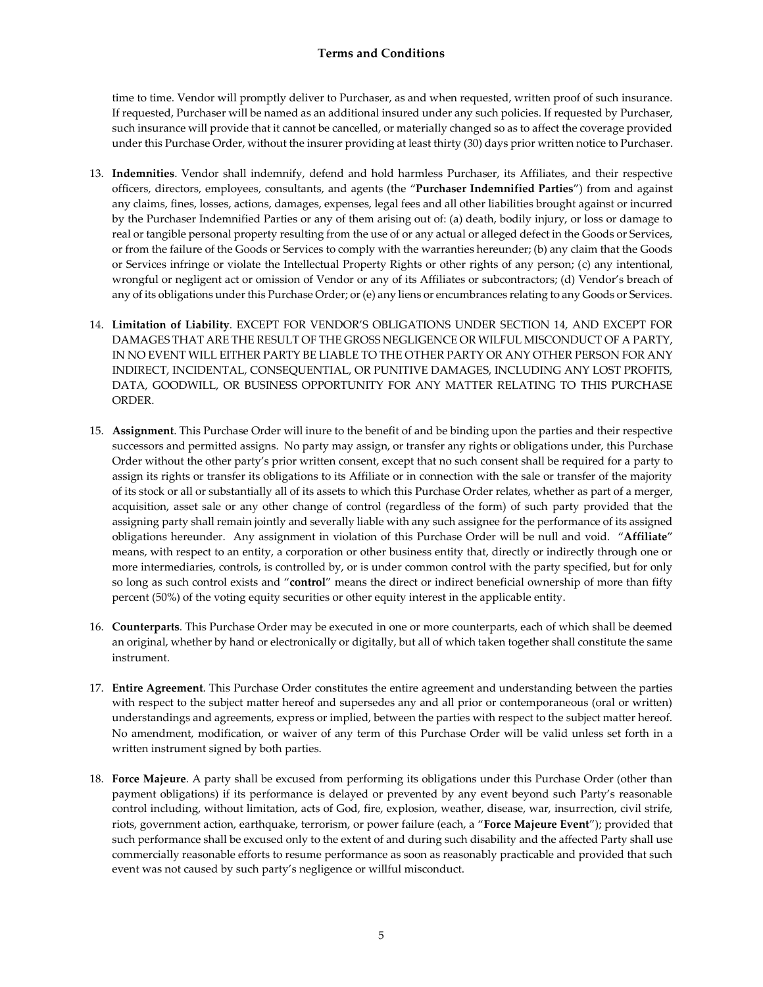time to time. Vendor will promptly deliver to Purchaser, as and when requested, written proof of such insurance. If requested, Purchaser will be named as an additional insured under any such policies. If requested by Purchaser, such insurance will provide that it cannot be cancelled, or materially changed so as to affect the coverage provided under this Purchase Order, without the insurer providing at least thirty (30) days prior written notice to Purchaser.

- 13. **Indemnities**. Vendor shall indemnify, defend and hold harmless Purchaser, its Affiliates, and their respective officers, directors, employees, consultants, and agents (the "Purchaser Indemnified Parties") from and against any claims, fines, losses, actions, damages, expenses, legal fees and all other liabilities brought against or incurred by the Purchaser Indemnified Parties or any of them arising out of: (a) death, bodily injury, or loss or damage to real or tangible personal property resulting from the use of or any actual or alleged defect in the Goods or Services, or from the failure of the Goods or Services to comply with the warranties hereunder; (b) any claim that the Goods or Services infringe or violate the Intellectual Property Rights or other rights of any person; (c) any intentional, wrongful or negligent act or omission of Vendor or any of its Affiliates or subcontractors; (d) Vendor's breach of any of its obligations under this Purchase Order; or (e) any liens or encumbrances relating to any Goods or Services.
- 14. **Limitation of Liability**. EXCEPT FOR VENDOR'S OBLIGATIONS UNDER SECTION 14, AND EXCEPT FOR DAMAGES THAT ARE THE RESULT OF THE GROSS NEGLIGENCE OR WILFUL MISCONDUCT OF A PARTY, IN NO EVENT WILL EITHER PARTY BE LIABLE TO THE OTHER PARTY OR ANY OTHER PERSON FOR ANY INDIRECT, INCIDENTAL, CONSEQUENTIAL, OR PUNITIVE DAMAGES, INCLUDING ANY LOST PROFITS, DATA, GOODWILL, OR BUSINESS OPPORTUNITY FOR ANY MATTER RELATING TO THIS PURCHASE ORDER.
- 15. **Assignment**. This Purchase Order will inure to the benefit of and be binding upon the parties and their respective successors and permitted assigns. No party may assign, or transfer any rights or obligations under, this Purchase Order without the other party's prior written consent, except that no such consent shall be required for a party to assign its rights or transfer its obligations to its Affiliate or in connection with the sale or transfer of the majority of its stock or all or substantially all of its assets to which this Purchase Order relates, whether as part of a merger, acquisition, asset sale or any other change of control (regardless of the form) of such party provided that the assigning party shall remain jointly and severally liable with any such assignee for the performance of its assigned obligations hereunder. Any assignment in violation of this Purchase Order will be null and void. "Affiliate" means, with respect to an entity, a corporation or other business entity that, directly or indirectly through one or more intermediaries, controls, is controlled by, or is under common control with the party specified, but for only so long as such control exists and "control" means the direct or indirect beneficial ownership of more than fifty percent (50%) of the voting equity securities or other equity interest in the applicable entity.
- 16. **Counterparts**. This Purchase Order may be executed in one or more counterparts, each of which shall be deemed an original, whether by hand or electronically or digitally, but all of which taken together shall constitute the same instrument.
- 17. **Entire Agreement**. This Purchase Order constitutes the entire agreement and understanding between the parties with respect to the subject matter hereof and supersedes any and all prior or contemporaneous (oral or written) understandings and agreements, express or implied, between the parties with respect to the subject matter hereof. No amendment, modification, or waiver of any term of this Purchase Order will be valid unless set forth in a written instrument signed by both parties.
- 18. **Force Majeure**. A party shall be excused from performing its obligations under this Purchase Order (other than payment obligations) if its performance is delayed or prevented by any event beyond such Party's reasonable control including, without limitation, acts of God, fire, explosion, weather, disease, war, insurrection, civil strife, riots, government action, earthquake, terrorism, or power failure (each, a "Force Majeure Event"); provided that such performance shall be excused only to the extent of and during such disability and the affected Party shall use commercially reasonable efforts to resume performance as soon as reasonably practicable and provided that such event was not caused by such party's negligence or willful misconduct.